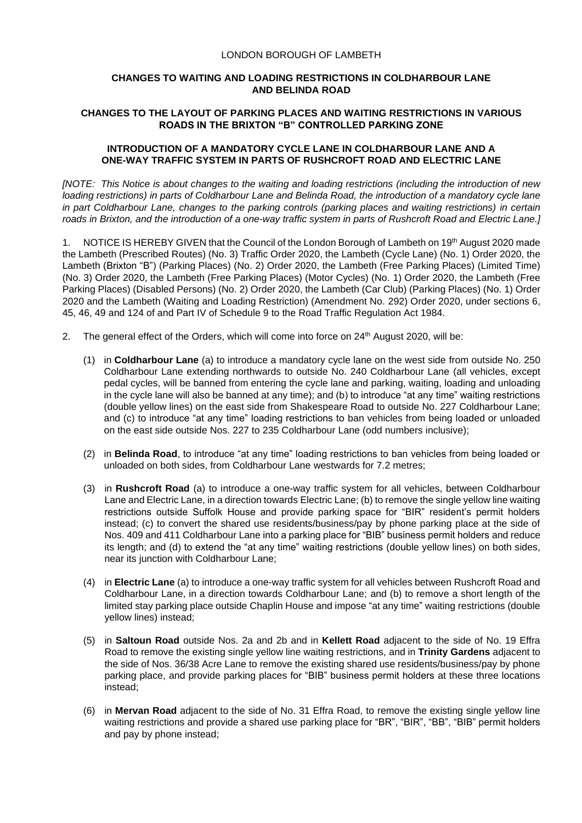## LONDON BOROUGH OF LAMBETH

## **CHANGES TO WAITING AND LOADING RESTRICTIONS IN COLDHARBOUR LANE AND BELINDA ROAD**

## **CHANGES TO THE LAYOUT OF PARKING PLACES AND WAITING RESTRICTIONS IN VARIOUS ROADS IN THE BRIXTON "B" CONTROLLED PARKING ZONE**

## **INTRODUCTION OF A MANDATORY CYCLE LANE IN COLDHARBOUR LANE AND A ONE-WAY TRAFFIC SYSTEM IN PARTS OF RUSHCROFT ROAD AND ELECTRIC LANE**

*[NOTE: This Notice is about changes to the waiting and loading restrictions (including the introduction of new loading restrictions) in parts of Coldharbour Lane and Belinda Road, the introduction of a mandatory cycle lane in part Coldharbour Lane, changes to the parking controls (parking places and waiting restrictions) in certain roads in Brixton, and the introduction of a one-way traffic system in parts of Rushcroft Road and Electric Lane.]*

1. NOTICE IS HEREBY GIVEN that the Council of the London Borough of Lambeth on 19th August 2020 made the Lambeth (Prescribed Routes) (No. 3) Traffic Order 2020, the Lambeth (Cycle Lane) (No. 1) Order 2020, the Lambeth (Brixton "B") (Parking Places) (No. 2) Order 2020, the Lambeth (Free Parking Places) (Limited Time) (No. 3) Order 2020, the Lambeth (Free Parking Places) (Motor Cycles) (No. 1) Order 2020, the Lambeth (Free Parking Places) (Disabled Persons) (No. 2) Order 2020, the Lambeth (Car Club) (Parking Places) (No. 1) Order 2020 and the Lambeth (Waiting and Loading Restriction) (Amendment No. 292) Order 2020, under sections 6, 45, 46, 49 and 124 of and Part IV of Schedule 9 to the Road Traffic Regulation Act 1984.

- 2. The general effect of the Orders, which will come into force on 24<sup>th</sup> August 2020, will be:
	- (1) in **Coldharbour Lane** (a) to introduce a mandatory cycle lane on the west side from outside No. 250 Coldharbour Lane extending northwards to outside No. 240 Coldharbour Lane (all vehicles, except pedal cycles, will be banned from entering the cycle lane and parking, waiting, loading and unloading in the cycle lane will also be banned at any time); and (b) to introduce "at any time" waiting restrictions (double yellow lines) on the east side from Shakespeare Road to outside No. 227 Coldharbour Lane; and (c) to introduce "at any time" loading restrictions to ban vehicles from being loaded or unloaded on the east side outside Nos. 227 to 235 Coldharbour Lane (odd numbers inclusive);
	- (2) in **Belinda Road**, to introduce "at any time" loading restrictions to ban vehicles from being loaded or unloaded on both sides, from Coldharbour Lane westwards for 7.2 metres;
	- (3) in **Rushcroft Road** (a) to introduce a one-way traffic system for all vehicles, between Coldharbour Lane and Electric Lane, in a direction towards Electric Lane; (b) to remove the single yellow line waiting restrictions outside Suffolk House and provide parking space for "BIR" resident's permit holders instead; (c) to convert the shared use residents/business/pay by phone parking place at the side of Nos. 409 and 411 Coldharbour Lane into a parking place for "BIB" business permit holders and reduce its length; and (d) to extend the "at any time" waiting restrictions (double yellow lines) on both sides, near its junction with Coldharbour Lane;
	- (4) in **Electric Lane** (a) to introduce a one-way traffic system for all vehicles between Rushcroft Road and Coldharbour Lane, in a direction towards Coldharbour Lane; and (b) to remove a short length of the limited stay parking place outside Chaplin House and impose "at any time" waiting restrictions (double yellow lines) instead;
	- (5) in **Saltoun Road** outside Nos. 2a and 2b and in **Kellett Road** adjacent to the side of No. 19 Effra Road to remove the existing single yellow line waiting restrictions, and in **Trinity Gardens** adjacent to the side of Nos. 36/38 Acre Lane to remove the existing shared use residents/business/pay by phone parking place, and provide parking places for "BIB" business permit holders at these three locations instead;
	- (6) in **Mervan Road** adjacent to the side of No. 31 Effra Road, to remove the existing single yellow line waiting restrictions and provide a shared use parking place for "BR", "BIR", "BIB", "BIB" permit holders and pay by phone instead;